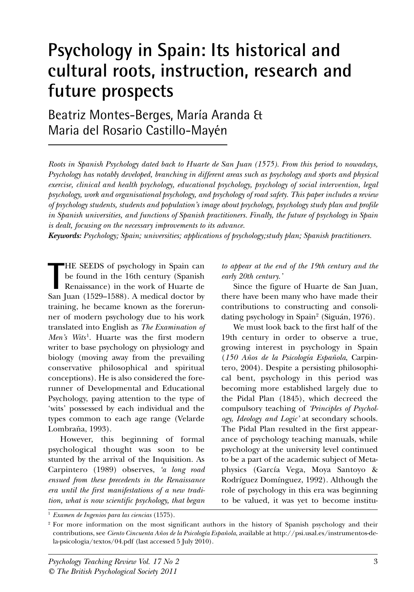# **Psychology in Spain: Its historical and cultural roots, instruction, research and future prospects**

Beatriz Montes-Berges, María Aranda & Maria del Rosario Castillo-Mayén

*Roots in Spanish Psychology dated back to Huarte de San Juan (1575). From this period to nowadays, Psychology has notably developed, branching in different areas such as psychology and sports and physical exercise, clinical and health psychology, educational psychology, psychology of social intervention, legal psychology, work and organisational psychology, and psychology of road safety. This paper includes a review of psychology students, students and population's image about psychology, psychology study plan and profile in Spanish universities, and functions of Spanish practitioners. Finally, the future of psychology in Spain is dealt, focusing on the necessary improvements to its advance.*

*Keywords: Psychology; Spain; universities; applications of psychology;study plan; Spanish practitioners.*

THE SEEDS of psychology in Spain can<br>be found in the 16th century (Spanish<br>Renaissance) in the work of Huarte de<br>San Juan (1529–1588). A medical doctor by HE SEEDS of psychology in Spain can be found in the 16th century (Spanish Renaissance) in the work of Huarte de training, he became known as the forerunner of modern psychology due to his work translated into English as *The Examination of Men's Wits<sup>1</sup>*. Huarte was the first modern writer to base psychology on physiology and biology (moving away from the prevailing conservative philosophical and spiritual conceptions). He is also considered the forerunner of Developmental and Educational Psychology, paying attention to the type of 'wits' possessed by each individual and the types common to each age range (Velarde Lombraña, 1993).

However, this beginning of formal psychological thought was soon to be stunted by the arrival of the Inquisition. As Carpintero (1989) observes, *'a long road ensued from these precedents in the Renaissance era until the first manifestations of a new tradition, what is now scientific psychology, that began* *to appear at the end of the 19th century and the early 20th century.'*

Since the figure of Huarte de San Juan, there have been many who have made their contributions to constructing and consolidating psychology in Spain2 (Siguán, 1976).

We must look back to the first half of the 19th century in order to observe a true, growing interest in psychology in Spain (*150 Años de la Psicología Española*, Carpintero, 2004). Despite a persisting philosophical bent, psychology in this period was becoming more established largely due to the Pidal Plan (1845), which decreed the compulsory teaching of *'Principles of Psychology, Ideology and Logic'* at secondary schools. The Pidal Plan resulted in the first appearance of psychology teaching manuals, while psychology at the university level continued to be a part of the academic subject of Metaphysics (García Vega, Moya Santoyo & Rodríguez Domínguez, 1992). Although the role of psychology in this era was beginning to be valued, it was yet to become institu-

<sup>1</sup> *Examen de Ingenios para las ciencias* (1575).

<sup>&</sup>lt;sup>2</sup> For more information on the most significant authors in the history of Spanish psychology and their contributions, see *Ciento Cincuenta Años de la Psicología Española*, available at http://psi.usal.es/instrumentos-dela-psicologia/textos/04.pdf (last accessed 5 July 2010).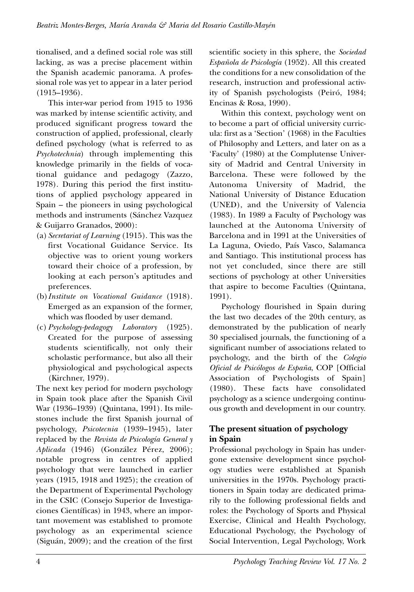tionalised, and a defined social role was still lacking, as was a precise placement within the Spanish academic panorama. A professional role was yet to appear in a later period (1915–1936).

This inter-war period from 1915 to 1936 was marked by intense scientific activity, and produced significant progress toward the construction of applied, professional, clearly defined psychology (what is referred to as *Psychotechnia*) through implementing this knowledge primarily in the fields of vocational guidance and pedagogy (Zazzo, 1978). During this period the first institutions of applied psychology appeared in Spain – the pioneers in using psychological methods and instruments (Sánchez Vazquez & Guijarro Granados, 2000):

- (a) *Secretariat of Learning* (1915). This was the first Vocational Guidance Service. Its objective was to orient young workers toward their choice of a profession, by looking at each person's aptitudes and preferences.
- (b)*Institute on Vocational Guidance* (1918). Emerged as an expansion of the former, which was flooded by user demand.
- (c) *Psychology-pedagogy Laboratory* (1925). Created for the purpose of assessing students scientifically, not only their scholastic performance, but also all their physiological and psychological aspects (Kirchner, 1979).

The next key period for modern psychology in Spain took place after the Spanish Civil War (1936–1939) (Quintana, 1991). Its milestones include the first Spanish journal of psychology, *Psicotecnia* (1939–1945), later replaced by the *Revista de Psicología General y Aplicada* (1946) (González Pérez, 2006); notable progress in centres of applied psychology that were launched in earlier years (1915, 1918 and 1925); the creation of the Department of Experimental Psychology in the CSIC (Consejo Superior de Investigaciones Científicas) in 1943, where an important movement was established to promote psychology as an experimental science (Siguán, 2009); and the creation of the first

scientific society in this sphere, the *Sociedad Española de Psicología* (1952). All this created the conditions for a new consolidation of the research, instruction and professional activity of Spanish psychologists (Peiró, 1984; Encinas & Rosa, 1990).

Within this context, psychology went on to become a part of official university curricula: first as a 'Section' (1968) in the Faculties of Philosophy and Letters, and later on as a 'Faculty' (1980) at the Complutense University of Madrid and Central University in Barcelona. These were followed by the Autonoma University of Madrid, the National University of Distance Education (UNED), and the University of Valencia (1983). In 1989 a Faculty of Psychology was launched at the Autonoma University of Barcelona and in 1991 at the Universities of La Laguna, Oviedo, País Vasco, Salamanca and Santiago. This institutional process has not yet concluded, since there are still sections of psychology at other Universities that aspire to become Faculties (Quintana, 1991).

Psychology flourished in Spain during the last two decades of the 20th century, as demonstrated by the publication of nearly 30 specialised journals, the functioning of a significant number of associations related to psychology, and the birth of the *Colegio Oficial de Psicólogos de España*, COP [Official Association of Psychologists of Spain] (1980). These facts have consolidated psychology as a science undergoing continuous growth and development in our country.

# **The present situation of psychology in Spain**

Professional psychology in Spain has undergone extensive development since psychology studies were established at Spanish universities in the 1970s. Psychology practitioners in Spain today are dedicated primarily to the following professional fields and roles: the Psychology of Sports and Physical Exercise, Clinical and Health Psychology, Educational Psychology, the Psychology of Social Intervention, Legal Psychology, Work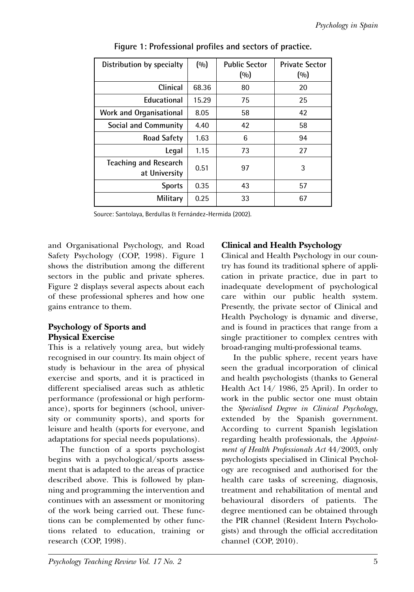| Distribution by specialty                     | (0/0) | <b>Public Sector</b><br>(0/0) | <b>Private Sector</b><br>(0/0) |
|-----------------------------------------------|-------|-------------------------------|--------------------------------|
| Clinical                                      | 68.36 | 80                            | 20                             |
| Educational                                   | 15.29 | 75                            | 25                             |
| <b>Work and Organisational</b>                | 8.05  | 58                            | 42                             |
| Social and Community                          | 4.40  | 42                            | 58                             |
| <b>Road Safety</b>                            | 1.63  | 6                             | 94                             |
| Legal                                         | 1.15  | 73                            | 27                             |
| <b>Teaching and Research</b><br>at University | 0.51  | 97                            | 3                              |
| <b>Sports</b>                                 | 0.35  | 43                            | 57                             |
| Military                                      | 0.25  | 33                            | 67                             |

**Figure 1: Professional profiles and sectors of practice.**

Source: Santolaya, Berdullas & Fernández-Hermida (2002).

and Organisational Psychology, and Road Safety Psychology (COP, 1998). Figure 1 shows the distribution among the different sectors in the public and private spheres. Figure 2 displays several aspects about each of these professional spheres and how one gains entrance to them.

# **Psychology of Sports and Physical Exercise**

This is a relatively young area, but widely recognised in our country. Its main object of study is behaviour in the area of physical exercise and sports, and it is practiced in different specialised areas such as athletic performance (professional or high performance), sports for beginners (school, university or community sports), and sports for leisure and health (sports for everyone, and adaptations for special needs populations).

The function of a sports psychologist begins with a psychological/sports assessment that is adapted to the areas of practice described above. This is followed by planning and programming the intervention and continues with an assessment or monitoring of the work being carried out. These functions can be complemented by other functions related to education, training or research (COP, 1998).

# **Clinical and Health Psychology**

Clinical and Health Psychology in our country has found its traditional sphere of application in private practice, due in part to inadequate development of psychological care within our public health system. Presently, the private sector of Clinical and Health Psychology is dynamic and diverse, and is found in practices that range from a single practitioner to complex centres with broad-ranging multi-professional teams.

In the public sphere, recent years have seen the gradual incorporation of clinical and health psychologists (thanks to General Health Act 14/ 1986, 25 April). In order to work in the public sector one must obtain the *Specialised Degree in Clinical Psychology*, extended by the Spanish government. According to current Spanish legislation regarding health professionals, the *Appointment of Health Professionals Act* 44/2003, only psychologists specialised in Clinical Psychology are recognised and authorised for the health care tasks of screening, diagnosis, treatment and rehabilitation of mental and behavioural disorders of patients. The degree mentioned can be obtained through the PIR channel (Resident Intern Psychologists) and through the official accreditation channel (COP, 2010).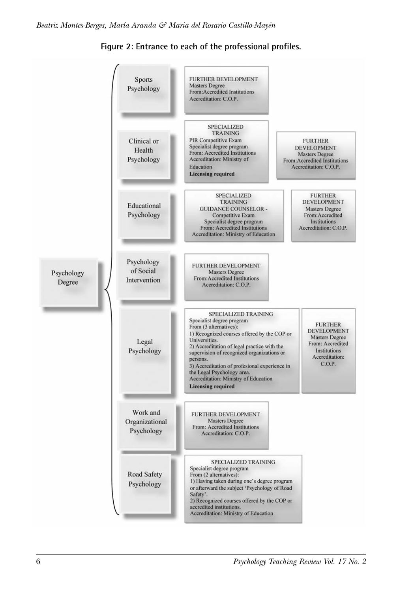

**Figure 2: Entrance to each of the professional profiles.**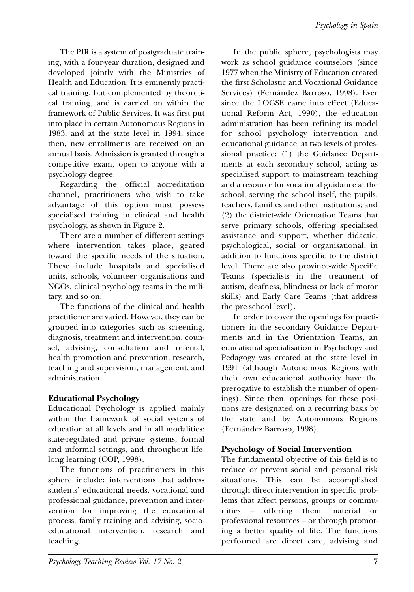The PIR is a system of postgraduate training, with a four-year duration, designed and developed jointly with the Ministries of Health and Education. It is eminently practical training, but complemented by theoretical training, and is carried on within the framework of Public Services. It was first put into place in certain Autonomous Regions in 1983, and at the state level in 1994; since then, new enrollments are received on an annual basis. Admission is granted through a competitive exam, open to anyone with a psychology degree.

Regarding the official accreditation channel, practitioners who wish to take advantage of this option must possess specialised training in clinical and health psychology, as shown in Figure 2.

There are a number of different settings where intervention takes place, geared toward the specific needs of the situation. These include hospitals and specialised units, schools, volunteer organisations and NGOs, clinical psychology teams in the military, and so on.

The functions of the clinical and health practitioner are varied. However, they can be grouped into categories such as screening, diagnosis, treatment and intervention, counsel, advising, consultation and referral, health promotion and prevention, research, teaching and supervision, management, and administration.

# **Educational Psychology**

Educational Psychology is applied mainly within the framework of social systems of education at all levels and in all modalities: state-regulated and private systems, formal and informal settings, and throughout lifelong learning (COP, 1998).

The functions of practitioners in this sphere include: interventions that address students' educational needs, vocational and professional guidance, prevention and intervention for improving the educational process, family training and advising, socioeducational intervention, research and teaching.

In the public sphere, psychologists may work as school guidance counselors (since 1977 when the Ministry of Education created the first Scholastic and Vocational Guidance Services) (Fernández Barroso, 1998). Ever since the LOGSE came into effect (Educational Reform Act, 1990), the education administration has been refining its model for school psychology intervention and educational guidance, at two levels of professional practice: (1) the Guidance Departments at each secondary school, acting as specialised support to mainstream teaching and a resource for vocational guidance at the school, serving the school itself, the pupils, teachers, families and other institutions; and (2) the district-wide Orientation Teams that serve primary schools, offering specialised assistance and support, whether didactic, psychological, social or organisational, in addition to functions specific to the district level. There are also province-wide Specific Teams (specialists in the treatment of autism, deafness, blindness or lack of motor skills) and Early Care Teams (that address the pre-school level).

In order to cover the openings for practitioners in the secondary Guidance Departments and in the Orientation Teams, an educational specialisation in Psychology and Pedagogy was created at the state level in 1991 (although Autonomous Regions with their own educational authority have the prerogative to establish the number of openings). Since then, openings for these positions are designated on a recurring basis by the state and by Autonomous Regions (Fernández Barroso, 1998).

# **Psychology of Social Intervention**

The fundamental objective of this field is to reduce or prevent social and personal risk situations. This can be accomplished through direct intervention in specific problems that affect persons, groups or communities – offering them material or professional resources – or through promoting a better quality of life. The functions performed are direct care, advising and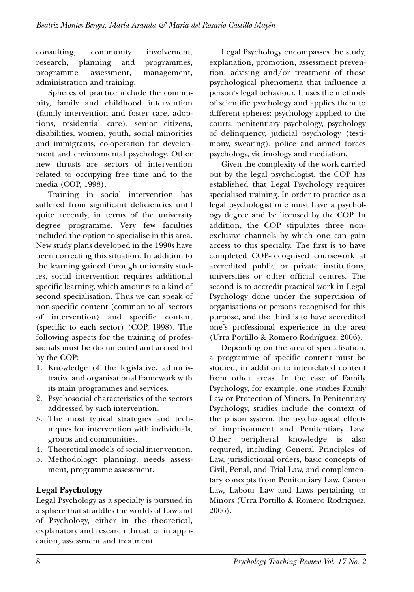consulting, community involvement, research, planning and programmes, programme assessment, management, administration and training.

Spheres of practice include the community, family and childhood intervention (family intervention and foster care, adoptions, residential care), senior citizens, disabilities, women, youth, social minorities and immigrants, co-operation for development and environmental psychology. Other new thrusts are sectors of intervention related to occupying free time and to the media (COP, 1998).

Training in social intervention has suffered from significant deficiencies until quite recently, in terms of the university degree programme. Very few faculties included the option to specialise in this area. New study plans developed in the 1990s have been correcting this situation. In addition to the learning gained through university studies, social intervention requires additional specific learning, which amounts to a kind of second specialisation. Thus we can speak of non-specific content (common to all sectors of intervention) and specific content (specific to each sector) (COP, 1998). The following aspects for the training of professionals must be documented and accredited by the COP:

- 1. Knowledge of the legislative, administrative and organisational framework with its main programmes and services.
- 2. Psychosocial characteristics of the sectors addressed by such intervention.
- 3. The most typical strategies and techniques for intervention with individuals, groups and communities.
- 4. Theoretical models of social inter-vention.
- 5. Methodology: planning, needs assessment, programme assessment.

# **Legal Psychology**

Legal Psychology as a specialty is pursued in a sphere that straddles the worlds of Law and of Psychology, either in the theoretical, explanatory and research thrust, or in application, assessment and treatment.

Legal Psychology encompasses the study, explanation, promotion, assessment prevention, advising and/or treatment of those psychological phenomena that influence a person's legal behaviour. It uses the methods of scientific psychology and applies them to different spheres: psychology applied to the courts, penitentiary psychology, psychology of delinquency, judicial psychology (testimony, swearing), police and armed forces psychology, victimology and mediation.

Given the complexity of the work carried out by the legal psychologist, the COP has established that Legal Psychology requires specialised training. In order to practice as a legal psychologist one must have a psychology degree and be licensed by the COP. In addition, the COP stipulates three nonexclusive channels by which one can gain access to this specialty. The first is to have completed COP-recognised coursework at accredited public or private institutions, universities or other official centres. The second is to accredit practical work in Legal Psychology done under the supervision of organisations or persons recognised for this purpose, and the third is to have accredited one's professional experience in the area (Urra Portillo & Romero Rodríguez, 2006).

Depending on the area of specialisation, a programme of specific content must be studied, in addition to interrelated content from other areas. In the case of Family Psychology, for example, one studies Family Law or Protection of Minors. In Penitentiary Psychology, studies include the context of the prison system, the psychological effects of imprisonment and Penitentiary Law. Other peripheral knowledge is also required, including General Principles of Law, jurisdictional orders, basic concepts of Civil, Penal, and Trial Law, and complementary concepts from Penitentiary Law, Canon Law, Labour Law and Laws pertaining to Minors (Urra Portillo & Romero Rodríguez, 2006).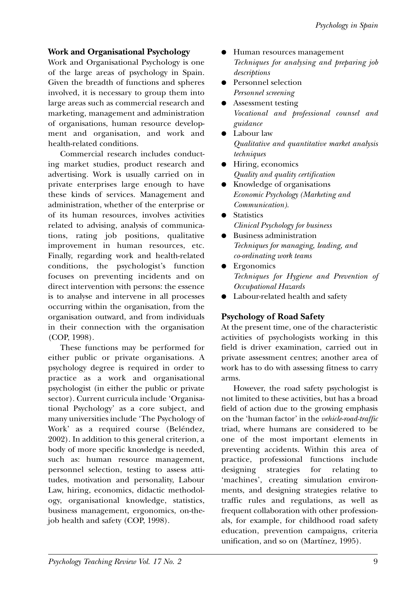## **Work and Organisational Psychology**

Work and Organisational Psychology is one of the large areas of psychology in Spain. Given the breadth of functions and spheres involved, it is necessary to group them into large areas such as commercial research and marketing, management and administration of organisations, human resource development and organisation, and work and health-related conditions.

Commercial research includes conducting market studies, product research and advertising. Work is usually carried on in private enterprises large enough to have these kinds of services. Management and administration, whether of the enterprise or of its human resources, involves activities related to advising, analysis of communications, rating job positions, qualitative improvement in human resources, etc. Finally, regarding work and health-related conditions, the psychologist's function focuses on preventing incidents and on direct intervention with persons: the essence is to analyse and intervene in all processes occurring within the organisation, from the organisation outward, and from individuals in their connection with the organisation (COP, 1998).

These functions may be performed for either public or private organisations. A psychology degree is required in order to practice as a work and organisational psychologist (in either the public or private sector). Current curricula include 'Organisational Psychology' as a core subject, and many universities include 'The Psychology of Work' as a required course (Beléndez, 2002). In addition to this general criterion, a body of more specific knowledge is needed, such as: human resource management, personnel selection, testing to assess attitudes, motivation and personality, Labour Law, hiring, economics, didactic methodology, organisational knowledge, statistics, business management, ergonomics, on-thejob health and safety (COP, 1998).

- Human resources management *Techniques for analysing and preparing job descriptions*
- Personnel selection *Personnel screening*
- Assessment testing *Vocational and professional counsel and guidance*
- Labour law *Qualitative and quantitative market analysis techniques*
- Hiring, economics *Quality and quality certification*
- Knowledge of organisations *Economic Psychology (Marketing and Communication).*
- Statistics *Clinical Psychology for business*
- Business administration *Techniques for managing, leading, and co-ordinating work teams*
- Ergonomics *Techniques for Hygiene and Prevention of Occupational Hazards*
- Labour-related health and safety

## **Psychology of Road Safety**

At the present time, one of the characteristic activities of psychologists working in this field is driver examination, carried out in private assessment centres; another area of work has to do with assessing fitness to carry arms.

However, the road safety psychologist is not limited to these activities, but has a broad field of action due to the growing emphasis on the 'human factor' in the *vehicle-road-traffic* triad, where humans are considered to be one of the most important elements in preventing accidents. Within this area of practice, professional functions include designing strategies for relating to 'machines', creating simulation environments, and designing strategies relative to traffic rules and regulations, as well as frequent collaboration with other professionals, for example, for childhood road safety education, prevention campaigns, criteria unification, and so on (Martínez, 1995).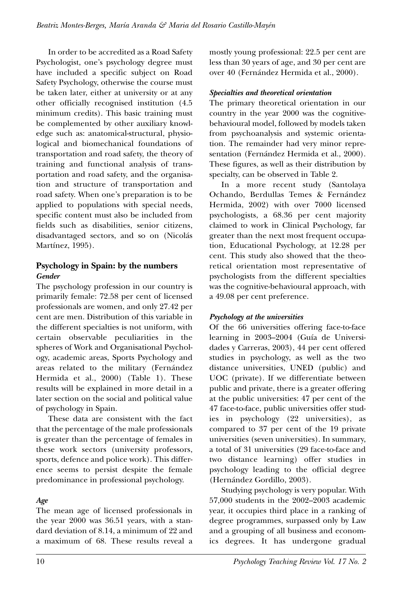In order to be accredited as a Road Safety Psychologist, one's psychology degree must have included a specific subject on Road Safety Psychology, otherwise the course must be taken later, either at university or at any other officially recognised institution (4.5 minimum credits). This basic training must be complemented by other auxiliary knowledge such as: anatomical-structural, physiological and biomechanical foundations of transportation and road safety, the theory of training and functional analysis of transportation and road safety, and the organisation and structure of transportation and road safety. When one's preparation is to be applied to populations with special needs, specific content must also be included from fields such as disabilities, senior citizens, disadvantaged sectors, and so on (Nicolás Martínez, 1995).

## **Psychology in Spain: by the numbers** *Gender*

The psychology profession in our country is primarily female: 72.58 per cent of licensed professionals are women, and only 27.42 per cent are men. Distribution of this variable in the different specialties is not uniform, with certain observable peculiarities in the spheres of Work and Organisational Psychology, academic areas, Sports Psychology and areas related to the military (Fernández Hermida et al., 2000) (Table 1). These results will be explained in more detail in a later section on the social and political value of psychology in Spain.

These data are consistent with the fact that the percentage of the male professionals is greater than the percentage of females in these work sectors (university professors, sports, defence and police work). This difference seems to persist despite the female predominance in professional psychology.

## *Age*

The mean age of licensed professionals in the year 2000 was 36.51 years, with a standard deviation of 8.14, a minimum of 22 and a maximum of 68. These results reveal a mostly young professional: 22.5 per cent are less than 30 years of age, and 30 per cent are over 40 (Fernández Hermida et al., 2000).

#### *Specialties and theoretical orientation*

The primary theoretical orientation in our country in the year 2000 was the cognitivebehavioural model, followed by models taken from psychoanalysis and systemic orientation. The remainder had very minor representation (Fernández Hermida et al., 2000). These figures, as well as their distribution by specialty, can be observed in Table 2.

In a more recent study (Santolaya Ochando, Berdullas Temes & Fernández Hermida, 2002) with over 7000 licensed psychologists, a 68.36 per cent majority claimed to work in Clinical Psychology, far greater than the next most frequent occupation, Educational Psychology, at 12.28 per cent. This study also showed that the theoretical orientation most representative of psychologists from the different specialties was the cognitive-behavioural approach, with a 49.08 per cent preference.

#### *Psychology at the universities*

Of the 66 universities offering face-to-face learning in 2003–2004 (Guía de Universidades y Carreras, 2003), 44 per cent offered studies in psychology, as well as the two distance universities, UNED (public) and UOC (private). If we differentiate between public and private, there is a greater offering at the public universities: 47 per cent of the 47 face-to-face, public universities offer studies in psychology (22 universities), as compared to 37 per cent of the 19 private universities (seven universities). In summary, a total of 31 universities (29 face-to-face and two distance learning) offer studies in psychology leading to the official degree (Hernández Gordillo, 2003).

Studying psychology is very popular. With 57,000 students in the 2002–2003 academic year, it occupies third place in a ranking of degree programmes, surpassed only by Law and a grouping of all business and economics degrees. It has undergone gradual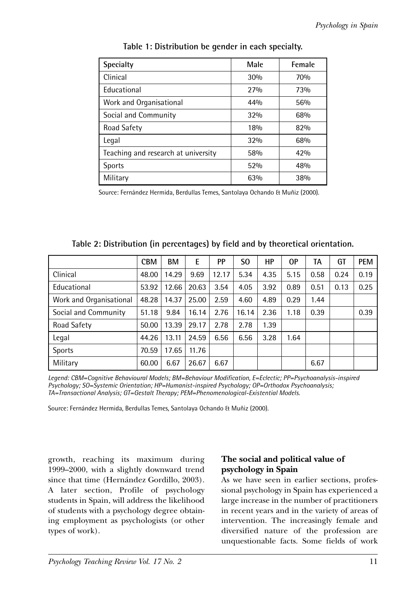| <b>Specialty</b>                    | Male | Female |  |
|-------------------------------------|------|--------|--|
| Clinical                            | 30%  | 70%    |  |
| Educational                         | 27%  | 73%    |  |
| Work and Organisational             | 44%  | 56%    |  |
| Social and Community                | 32%  | 68%    |  |
| Road Safety                         | 18%  | 82%    |  |
| Legal                               | 32%  | 68%    |  |
| Teaching and research at university | 58%  | 42%    |  |
| <b>Sports</b>                       | 52%  | 48%    |  |
| Military                            | 63%  | 38%    |  |

**Table 1: Distribution be gender in each specialty.**

Source: Fernández Hermida, Berdullas Temes, Santolaya Ochando & Muñiz (2000).

|                         | <b>CBM</b> | <b>BM</b> | Ε     | <b>PP</b> | S <sub>0</sub> | HР   | 0P   | TA   | GT   | <b>PEM</b> |
|-------------------------|------------|-----------|-------|-----------|----------------|------|------|------|------|------------|
| Clinical                | 48.00      | 14.29     | 9.69  | 12.17     | 5.34           | 4.35 | 5.15 | 0.58 | 0.24 | 0.19       |
| Educational             | 53.92      | 12.66     | 20.63 | 3.54      | 4.05           | 3.92 | 0.89 | 0.51 | 0.13 | 0.25       |
| Work and Organisational | 48.28      | 14.37     | 25.00 | 2.59      | 4.60           | 4.89 | 0.29 | 1.44 |      |            |
| Social and Community    | 51.18      | 9.84      | 16.14 | 2.76      | 16.14          | 2.36 | 1.18 | 0.39 |      | 0.39       |
| Road Safety             | 50.00      | 13.39     | 29.17 | 2.78      | 2.78           | 1.39 |      |      |      |            |
| Legal                   | 44.26      | 13.11     | 24.59 | 6.56      | 6.56           | 3.28 | 1.64 |      |      |            |
| <b>Sports</b>           | 70.59      | 17.65     | 11.76 |           |                |      |      |      |      |            |
| Military                | 60.00      | 6.67      | 26.67 | 6.67      |                |      |      | 6.67 |      |            |

**Table 2: Distribution (in percentages) by field and by theoretical orientation.**

*Legend: CBM=Cognitive Behavioural Models; BM=Behaviour Modification, E=Eclectic; PP=Psychoanalysis-inspired Psychology; SO=Systemic Orientation; HP=Humanist-inspired Psychology; OP=Orthodox Psychoanalysis; TA=Transactional Analysis; GT=Gestalt Therapy; PEM=Phenomenological-Existential Models.*

Source: Fernández Hermida, Berdullas Temes, Santolaya Ochando & Muñiz (2000).

growth, reaching its maximum during 1999–2000, with a slightly downward trend since that time (Hernández Gordillo, 2003). A later section, Profile of psychology students in Spain, will address the likelihood of students with a psychology degree obtaining employment as psychologists (or other types of work).

## **The social and political value of psychology in Spain**

As we have seen in earlier sections, professional psychology in Spain has experienced a large increase in the number of practitioners in recent years and in the variety of areas of intervention. The increasingly female and diversified nature of the profession are unquestionable facts. Some fields of work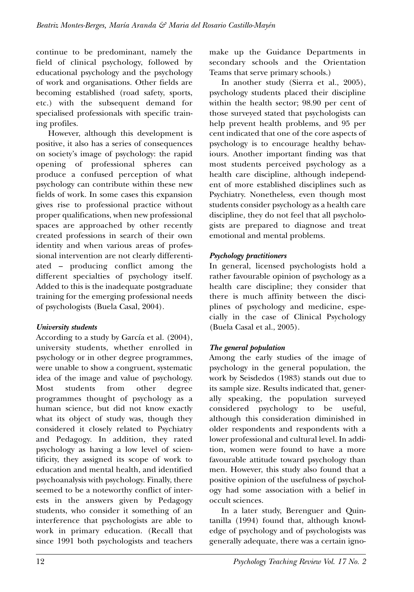continue to be predominant, namely the field of clinical psychology, followed by educational psychology and the psychology of work and organisations. Other fields are becoming established (road safety, sports, etc.) with the subsequent demand for specialised professionals with specific training profiles.

However, although this development is positive, it also has a series of consequences on society's image of psychology: the rapid opening of professional spheres can produce a confused perception of what psychology can contribute within these new fields of work. In some cases this expansion gives rise to professional practice without proper qualifications, when new professional spaces are approached by other recently created professions in search of their own identity and when various areas of professional intervention are not clearly differentiated – producing conflict among the different specialties of psychology itself. Added to this is the inadequate postgraduate training for the emerging professional needs of psychologists (Buela Casal, 2004).

# *University students*

According to a study by García et al. (2004), university students, whether enrolled in psychology or in other degree programmes, were unable to show a congruent, systematic idea of the image and value of psychology. Most students from other degree programmes thought of psychology as a human science, but did not know exactly what its object of study was, though they considered it closely related to Psychiatry and Pedagogy. In addition, they rated psychology as having a low level of scientificity, they assigned its scope of work to education and mental health, and identified psychoanalysis with psychology. Finally, there seemed to be a noteworthy conflict of interests in the answers given by Pedagogy students, who consider it something of an interference that psychologists are able to work in primary education. (Recall that since 1991 both psychologists and teachers

make up the Guidance Departments in secondary schools and the Orientation Teams that serve primary schools.)

In another study (Sierra et al., 2005), psychology students placed their discipline within the health sector; 98.90 per cent of those surveyed stated that psychologists can help prevent health problems, and 95 per cent indicated that one of the core aspects of psychology is to encourage healthy behaviours. Another important finding was that most students perceived psychology as a health care discipline, although independent of more established disciplines such as Psychiatry. Nonetheless, even though most students consider psychology as a health care discipline, they do not feel that all psychologists are prepared to diagnose and treat emotional and mental problems.

# *Psychology practitioners*

In general, licensed psychologists hold a rather favourable opinion of psychology as a health care discipline; they consider that there is much affinity between the disciplines of psychology and medicine, especially in the case of Clinical Psychology (Buela Casal et al., 2005).

# *The general population*

Among the early studies of the image of psychology in the general population, the work by Seisdedos (1983) stands out due to its sample size. Results indicated that, generally speaking, the population surveyed considered psychology to be useful, although this consideration diminished in older respondents and respondents with a lower professional and cultural level. In addition, women were found to have a more favourable attitude toward psychology than men. However, this study also found that a positive opinion of the usefulness of psychology had some association with a belief in occult sciences.

In a later study, Berenguer and Quintanilla (1994) found that, although knowledge of psychology and of psychologists was generally adequate, there was a certain igno-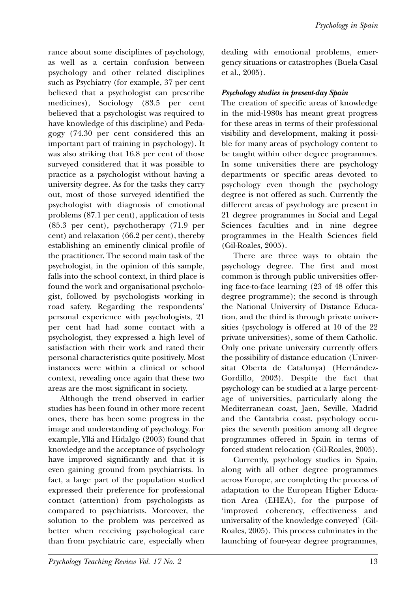rance about some disciplines of psychology, as well as a certain confusion between psychology and other related disciplines such as Psychiatry (for example, 37 per cent believed that a psychologist can prescribe medicines), Sociology (83.5 per cent believed that a psychologist was required to have knowledge of this discipline) and Pedagogy (74.30 per cent considered this an important part of training in psychology). It was also striking that 16.8 per cent of those surveyed considered that it was possible to practice as a psychologist without having a university degree. As for the tasks they carry out, most of those surveyed identified the psychologist with diagnosis of emotional problems (87.1 per cent), application of tests (85.3 per cent), psychotherapy (71.9 per cent) and relaxation (66.2 per cent), thereby establishing an eminently clinical profile of the practitioner. The second main task of the psychologist, in the opinion of this sample, falls into the school context, in third place is found the work and organisational psychologist, followed by psychologists working in road safety. Regarding the respondents' personal experience with psychologists, 21 per cent had had some contact with a psychologist, they expressed a high level of satisfaction with their work and rated their personal characteristics quite positively. Most instances were within a clinical or school context, revealing once again that these two areas are the most significant in society.

Although the trend observed in earlier studies has been found in other more recent ones, there has been some progress in the image and understanding of psychology. For example, Yllá and Hidalgo (2003) found that knowledge and the acceptance of psychology have improved significantly and that it is even gaining ground from psychiatrists. In fact, a large part of the population studied expressed their preference for professional contact (attention) from psychologists as compared to psychiatrists. Moreover, the solution to the problem was perceived as better when receiving psychological care than from psychiatric care, especially when dealing with emotional problems, emergency situations or catastrophes (Buela Casal et al., 2005).

## *Psychology studies in present-day Spain*

The creation of specific areas of knowledge in the mid-1980s has meant great progress for these areas in terms of their professional visibility and development, making it possible for many areas of psychology content to be taught within other degree programmes. In some universities there are psychology departments or specific areas devoted to psychology even though the psychology degree is not offered as such. Currently the different areas of psychology are present in 21 degree programmes in Social and Legal Sciences faculties and in nine degree programmes in the Health Sciences field (Gil-Roales, 2005).

There are three ways to obtain the psychology degree. The first and most common is through public universities offering face-to-face learning (23 of 48 offer this degree programme); the second is through the National University of Distance Education, and the third is through private universities (psychology is offered at 10 of the 22 private universities), some of them Catholic. Only one private university currently offers the possibility of distance education (Universitat Oberta de Catalunya) (Hernández-Gordillo, 2003). Despite the fact that psychology can be studied at a large percentage of universities, particularly along the Mediterranean coast, Jaen, Seville, Madrid and the Cantabria coast, psychology occupies the seventh position among all degree programmes offered in Spain in terms of forced student relocation (Gil-Roales, 2005).

Currently, psychology studies in Spain, along with all other degree programmes across Europe, are completing the process of adaptation to the European Higher Education Area (EHEA), for the purpose of 'improved coherency, effectiveness and universality of the knowledge conveyed' (Gil-Roales, 2005). This process culminates in the launching of four-year degree programmes,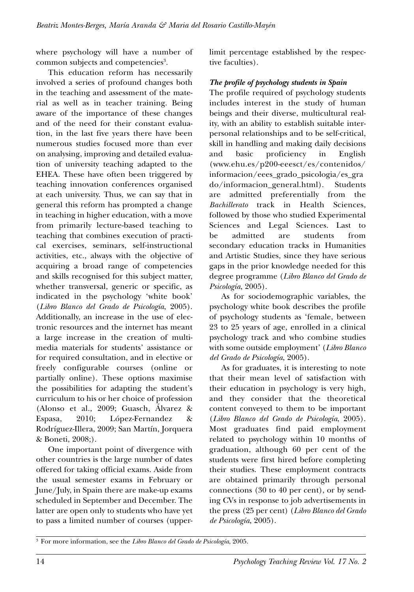where psychology will have a number of common subjects and competencies<sup>3</sup>.

This education reform has necessarily involved a series of profound changes both in the teaching and assessment of the material as well as in teacher training. Being aware of the importance of these changes and of the need for their constant evaluation, in the last five years there have been numerous studies focused more than ever on analysing, improving and detailed evaluation of university teaching adapted to the EHEA. These have often been triggered by teaching innovation conferences organised at each university. Thus, we can say that in general this reform has prompted a change in teaching in higher education, with a move from primarily lecture-based teaching to teaching that combines execution of practical exercises, seminars, self-instructional activities, etc., always with the objective of acquiring a broad range of competencies and skills recognised for this subject matter, whether transversal, generic or specific, as indicated in the psychology 'white book' (*Libro Blanco del Grado de Psicología*, 2005). Additionally, an increase in the use of electronic resources and the internet has meant a large increase in the creation of multimedia materials for students' assistance or for required consultation, and in elective or freely configurable courses (online or partially online). These options maximise the possibilities for adapting the student's curriculum to his or her choice of profession (Alonso et al., 2009; Guasch, Álvarez & Espasa, 2010; López-Fernandez & Rodríguez-Illera, 2009; San Martín, Jorquera & Boneti, 2008;).

One important point of divergence with other countries is the large number of dates offered for taking official exams. Aside from the usual semester exams in February or June/July, in Spain there are make-up exams scheduled in September and December. The latter are open only to students who have yet to pass a limited number of courses (upperlimit percentage established by the respective faculties).

### *The profile of psychology students in Spain*

The profile required of psychology students includes interest in the study of human beings and their diverse, multicultural reality, with an ability to establish suitable interpersonal relationships and to be self-critical, skill in handling and making daily decisions and basic proficiency in English (www.ehu.es/p200-eeesct/es/contenidos/ informacion/eees\_grado\_psicologia/es\_gra do/informacion\_general.html). Students are admitted preferentially from the *Bachillerato* track in Health Sciences, followed by those who studied Experimental Sciences and Legal Sciences. Last to be admitted are students from secondary education tracks in Humanities and Artistic Studies, since they have serious gaps in the prior knowledge needed for this degree programme (*Libro Blanco del Grado de Psicología*, 2005).

As for sociodemographic variables, the psychology white book describes the profile of psychology students as 'female, between 23 to 25 years of age, enrolled in a clinical psychology track and who combine studies with some outside employment' (*Libro Blanco del Grado de Psicología*, 2005).

As for graduates, it is interesting to note that their mean level of satisfaction with their education in psychology is very high, and they consider that the theoretical content conveyed to them to be important (*Libro Blanco del Grado de Psicología*, 2005). Most graduates find paid employment related to psychology within 10 months of graduation, although 60 per cent of the students were first hired before completing their studies. These employment contracts are obtained primarily through personal connections (30 to 40 per cent), or by sending CVs in response to job advertisements in the press (25 per cent) (*Libro Blanco del Grado de Psicología*, 2005).

<sup>3</sup> For more information, see the *Libro Blanco del Grado de Psicología*, 2005.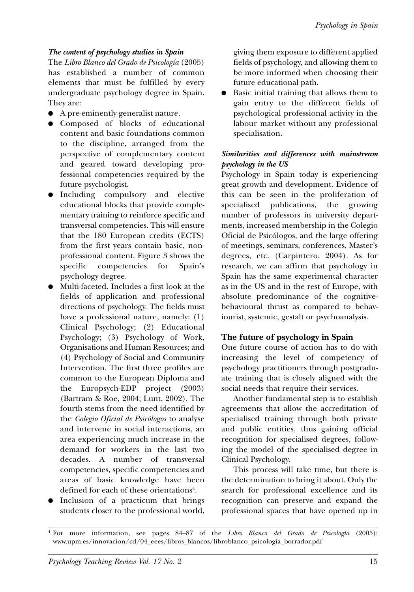#### *The content of psychology studies in Spain*

The *Libro Blanco del Grado de Psicología* (2005) has established a number of common elements that must be fulfilled by every undergraduate psychology degree in Spain. They are:

- A pre-eminently generalist nature.
- Composed of blocks of educational content and basic foundations common to the discipline, arranged from the perspective of complementary content and geared toward developing professional competencies required by the future psychologist.
- Including compulsory and elective educational blocks that provide complementary training to reinforce specific and transversal competencies. This will ensure that the 180 European credits (ECTS) from the first years contain basic, nonprofessional content. Figure 3 shows the specific competencies for Spain's psychology degree.
- Multi-faceted. Includes a first look at the fields of application and professional directions of psychology. The fields must have a professional nature, namely: (1) Clinical Psychology; (2) Educational Psychology; (3) Psychology of Work, Organisations and Human Resources; and (4) Psychology of Social and Community Intervention. The first three profiles are common to the European Diploma and the Europsych-EDP project (2003) (Bartram & Roe, 2004; Lunt, 2002). The fourth stems from the need identified by the *Colegio Oficial de Psicólogos* to analyse and intervene in social interactions, an area experiencing much increase in the demand for workers in the last two decades. A number of transversal competencies, specific competencies and areas of basic knowledge have been defined for each of these orientations<sup>4</sup>.
- Inclusion of a practicum that brings students closer to the professional world,

giving them exposure to different applied fields of psychology, and allowing them to be more informed when choosing their future educational path.

Basic initial training that allows them to gain entry to the different fields of psychological professional activity in the labour market without any professional specialisation.

#### *Similarities and differences with mainstream psychology in the US*

Psychology in Spain today is experiencing great growth and development. Evidence of this can be seen in the proliferation of specialised publications, the growing number of professors in university departments, increased membership in the Colegio Oficial de Psicólogos, and the large offering of meetings, seminars, conferences, Master's degrees, etc. (Carpintero, 2004). As for research, we can affirm that psychology in Spain has the same experimental character as in the US and in the rest of Europe, with absolute predominance of the cognitivebehavioural thrust as compared to behaviourist, systemic, gestalt or psychoanalysis.

## **The future of psychology in Spain**

One future course of action has to do with increasing the level of competency of psychology practitioners through postgraduate training that is closely aligned with the social needs that require their services.

Another fundamental step is to establish agreements that allow the accreditation of specialised training through both private and public entities, thus gaining official recognition for specialised degrees, following the model of the specialised degree in Clinical Psychology.

This process will take time, but there is the determination to bring it about. Only the search for professional excellence and its recognition can preserve and expand the professional spaces that have opened up in

<sup>4</sup> For more information, see pages 84–87 of the *Libro Blanco del Grado de Psicología* (2005): www.upm.es/innovacion/cd/04\_eees/libros\_blancos/libroblanco\_psicologia\_borrador.pdf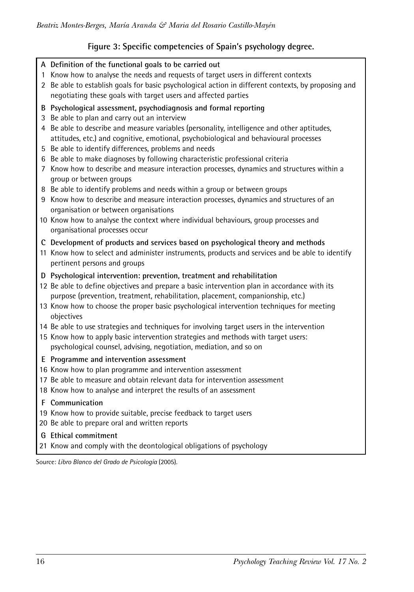# **Figure 3: Specific competencies of Spain's psychology degree.**

- **A Definition of the functional goals to be carried out**
- 1 Know how to analyse the needs and requests of target users in different contexts
- 2 Be able to establish goals for basic psychological action in different contexts, by proposing and negotiating these goals with target users and affected parties
- **B Psychological assessment, psychodiagnosis and formal reporting**
- 3 Be able to plan and carry out an interview
- 4 Be able to describe and measure variables (personality, intelligence and other aptitudes, attitudes, etc.) and cognitive, emotional, psychobiological and behavioural processes
- 5 Be able to identify differences, problems and needs
- 6 Be able to make diagnoses by following characteristic professional criteria
- 7 Know how to describe and measure interaction processes, dynamics and structures within a group or between groups
- 8 Be able to identify problems and needs within a group or between groups
- 9 Know how to describe and measure interaction processes, dynamics and structures of an organisation or between organisations
- 10 Know how to analyse the context where individual behaviours, group processes and organisational processes occur
- **C Development of products and services based on psychological theory and methods**
- 11 Know how to select and administer instruments, products and services and be able to identify pertinent persons and groups
- **D Psychological intervention: prevention, treatment and rehabilitation**
- 12 Be able to define objectives and prepare a basic intervention plan in accordance with its purpose (prevention, treatment, rehabilitation, placement, companionship, etc.)
- 13 Know how to choose the proper basic psychological intervention techniques for meeting objectives
- 14 Be able to use strategies and techniques for involving target users in the intervention
- 15 Know how to apply basic intervention strategies and methods with target users: psychological counsel, advising, negotiation, mediation, and so on
- **E Programme and intervention assessment**
- 16 Know how to plan programme and intervention assessment
- 17 Be able to measure and obtain relevant data for intervention assessment
- 18 Know how to analyse and interpret the results of an assessment
- **F Communication**
- 19 Know how to provide suitable, precise feedback to target users
- 20 Be able to prepare oral and written reports
- **G Ethical commitment**
- 21 Know and comply with the deontological obligations of psychology

Source: *Libro Blanco del Grado de Psicología* (2005).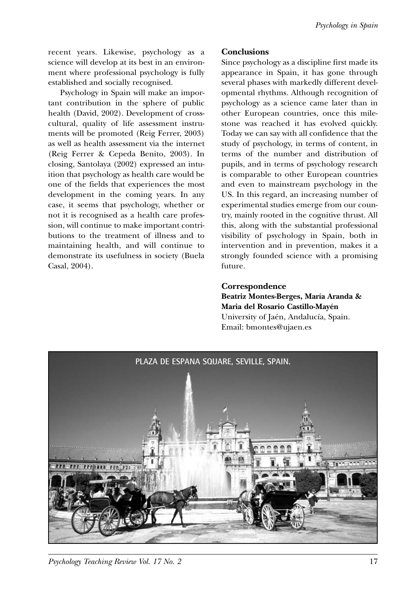recent years. Likewise, psychology as a science will develop at its best in an environment where professional psychology is fully established and socially recognised.

Psychology in Spain will make an important contribution in the sphere of public health (David, 2002). Development of crosscultural, quality of life assessment instruments will be promoted (Reig Ferrer, 2003) as well as health assessment via the internet (Reig Ferrer & Cepeda Benito, 2003). In closing, Santolaya (2002) expressed an intuition that psychology as health care would be one of the fields that experiences the most development in the coming years. In any case, it seems that psychology, whether or not it is recognised as a health care profession, will continue to make important contributions to the treatment of illness and to maintaining health, and will continue to demonstrate its usefulness in society (Buela Casal, 2004).

### **Conclusions**

Since psychology as a discipline first made its appearance in Spain, it has gone through several phases with markedly different developmental rhythms. Although recognition of psychology as a science came later than in other European countries, once this milestone was reached it has evolved quickly. Today we can say with all confidence that the study of psychology, in terms of content, in terms of the number and distribution of pupils, and in terms of psychology research is comparable to other European countries and even to mainstream psychology in the US. In this regard, an increasing number of experimental studies emerge from our country, mainly rooted in the cognitive thrust. All this, along with the substantial professional visibility of psychology in Spain, both in intervention and in prevention, makes it a strongly founded science with a promising future.

#### **Correspondence**

**Beatriz Montes-Berges, María Aranda & Maria del Rosario Castillo-Mayén** University of Jaén, Andalucía, Spain. Email: bmontes@ujaen.es

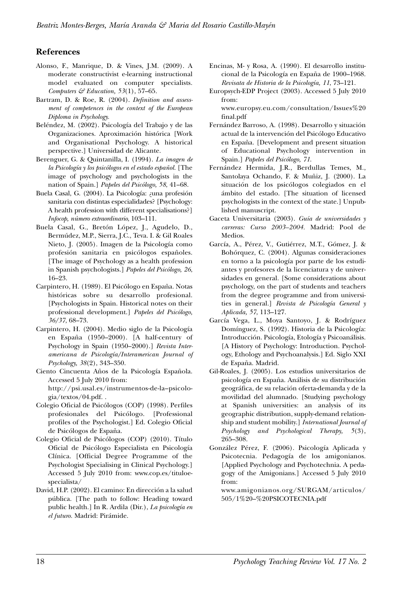## **References**

- Alonso, F., Manrique, D. & Vines, J.M. (2009). A moderate constructivist e-learning instructional model evaluated on computer specialists. *Computers & Education, 53*(1), 57–65.
- Bartram, D. & Roe, R. (2004). *Definition and assessment of competences in the context of the European Diploma in Psychology.*
- Beléndez, M. (2002). Psicología del Trabajo y de las Organizaciones. Aproximación histórica [Work and Organisational Psychology. A historical perspective.] Universidad de Alicante.
- Berenguer, G. & Quintanilla, I. (1994). *La imagen de la Psicología y los psicólogos en el estado español.* [The image of psychology and psychologists in the nation of Spain.] *Papeles del Psicólogo, 58*, 41–68.
- Buela Casal, G. (2004). La Psicología: ¿una profesión sanitaria con distintas especialidades? [Psychology: A health profession with different specialisations?] *Infocop, número extraordinario*, 103–111.
- Buela Casal, G., Bretón López, J., Agudelo, D., Bermúdez, M.P., Sierra, J.C., Teva. I. & Gil Roales Nieto, J. (2005). Imagen de la Psicología como profesión sanitaria en psicólogos españoles. [The image of Psychology as a health profession in Spanish psychologists.] *Papeles del Psicólogo, 26*, 16–23.
- Carpintero, H. (1989). El Psicólogo en España. Notas históricas sobre su desarrollo profesional. [Psychologists in Spain. Historical notes on their professional development.] *Papeles del Psicólogo, 36/37*, 68–73.
- Carpintero, H. (2004). Medio siglo de la Psicología en España (1950–2000). [A half-century of Psychology in Spain (1950–2000).] *Revista Interamericana de Psicología/Interamerican Journal of Psychology, 38*(2), 343–350.
- Ciento Cincuenta Años de la Psicología Española. Accessed 5 July 2010 from: http://psi.usal.es/instrumentos-de-la–psicolo-

gia/textos/04.pdf. .

- Colegio Oficial de Psicólogos (COP) (1998). Perfiles profesionales del Psicólogo. [Professional profiles of the Psychologist.] Ed. Colegio Oficial de Psicólogos de España.
- Colegio Oficial de Psicólogos (COP) (2010). Título Oficial de Psicólogo Especialista en Psicología Clínica. [Official Degree Programme of the Psychologist Specialising in Clinical Psychology.] Accessed 5 July 2010 from: www.cop.es/tituloespecialista/
- David, H.P. (2002). El camino: En dirección a la salud pública. [The path to follow: Heading toward public health.] In R. Ardila (Dir.), *La psicología en el futuro.* Madrid: Pirámide.
- Encinas, M- y Rosa, A. (1990). El desarrollo institucional de la Psicología en España de 1900–1968. *Revisata de Historia de la Psicología, 11*, 73–121.
- Europsych-EDP Project (2003). Accessed 5 July 2010 from:

www.europsy.eu.com/consultation/Issues%20 final.pdf

- Fernández Barroso, A. (1998). Desarrollo y situación actual de la intervención del Psicólogo Educativo en España. [Development and present situation of Educational Psychology intervention in Spain.] *Papeles del Psicólogo, 71*.
- Fernández Hermida, J.R., Berdullas Temes, M., Santolaya Ochando, F. & Muñiz, J. (2000). La situación de los psicólogos colegiados en el ámbito del estado. [The situation of licensed psychologists in the context of the state.] Unpublished manuscript.
- Gaceta Universitaria (2003). *Guía de universidades y carreras: Curso 2003–2004.* Madrid: Pool de Medios.
- García, A., Pérez, V., Gutiérrez, M.T., Gómez, J. & Bohórquez, C. (2004). Algunas consideraciones en torno a la psicología por parte de los estudiantes y profesores de la licenciatura y de universidades en general. [Some considerations about psychology, on the part of students and teachers from the degree programme and from universities in general.] *Revista de Psicología General y Aplicada, 57*, 113–127.
- García Vega, L., Moya Santoyo, J. & Rodríguez Domínguez, S. (1992). Historia de la Psicología: Introducción. Psicología, Etología y Psicoanálisis. [A History of Psychology: Introduction. Psychology, Ethology and Psychoanalysis.] Ed. Siglo XXI de España. Madrid.
- Gil-Roales, J. (2005). Los estudios universitarios de psicología en España. Análisis de su distribución geográfica, de su relación oferta-demanda y de la movilidad del alumnado. [Studying psychology at Spanish universities: an analysis of its geographic distribution, supply-demand relationship and student mobility.] *International Journal of Psychology and Psychological Therapy, 5*(3), 265–308.
- González Pérez, F. (2006). Psicología Aplicada y Psicotecnia. Pedagogía de los amigonianos. [Applied Psychology and Psychotechnia. A pedagogy of the Amigonians.] Accessed 5 July 2010 from:

www.amigonianos.org/SURGAM/articulos/ 505/1%20–%20PSICOTECNIA.pdf